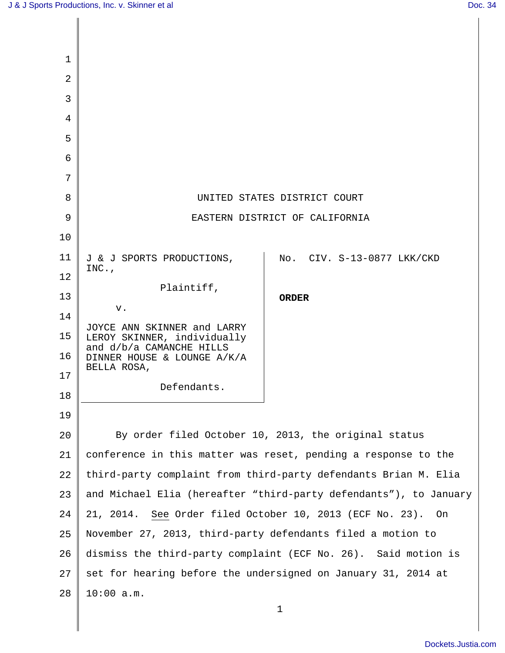| $\mathbf 1$    |                                                                   |                            |
|----------------|-------------------------------------------------------------------|----------------------------|
| $\overline{2}$ |                                                                   |                            |
| 3              |                                                                   |                            |
| 4              |                                                                   |                            |
| 5              |                                                                   |                            |
| 6              |                                                                   |                            |
| 7              |                                                                   |                            |
| 8              | UNITED STATES DISTRICT COURT                                      |                            |
| 9              | EASTERN DISTRICT OF CALIFORNIA                                    |                            |
| 10             |                                                                   |                            |
| 11             | J & J SPORTS PRODUCTIONS,                                         | No. CIV. S-13-0877 LKK/CKD |
| 12             | $INC.$ ,                                                          |                            |
| 13             | Plaintiff,                                                        | <b>ORDER</b>               |
| 14             | v.                                                                |                            |
| 15             | JOYCE ANN SKINNER and LARRY<br>LEROY SKINNER, individually        |                            |
| 16             | and d/b/a CAMANCHE HILLS<br>DINNER HOUSE & LOUNGE A/K/A           |                            |
| 17             | BELLA ROSA,                                                       |                            |
| 18             | Defendants.                                                       |                            |
| 19             |                                                                   |                            |
| 20             | By order filed October 10, 2013, the original status              |                            |
| 21             | conference in this matter was reset, pending a response to the    |                            |
| 22             | third-party complaint from third-party defendants Brian M. Elia   |                            |
| 23             | and Michael Elia (hereafter "third-party defendants"), to January |                            |
| 24             | See Order filed October 10, 2013 (ECF No. 23).<br>21, 2014.<br>On |                            |
| 25             | November 27, 2013, third-party defendants filed a motion to       |                            |
| 26             | dismiss the third-party complaint (ECF No. 26). Said motion is    |                            |
| 27             | set for hearing before the undersigned on January 31, 2014 at     |                            |
| 28             | $10:00$ a.m.                                                      |                            |
|                |                                                                   | 1                          |